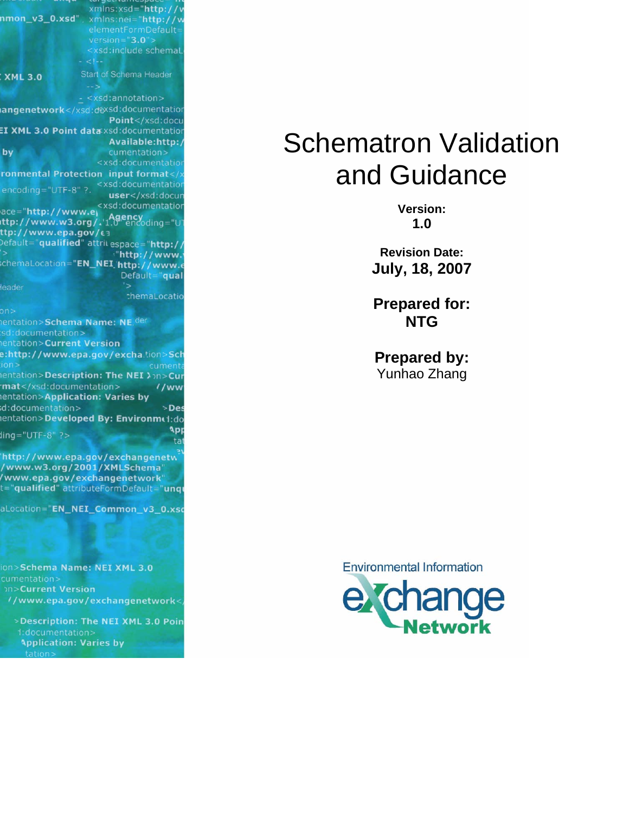|                                          | xmlns:xsd="http://v                                                  |             |
|------------------------------------------|----------------------------------------------------------------------|-------------|
|                                          |                                                                      |             |
|                                          | elementFormDefault=                                                  |             |
|                                          | $version="3.0"$                                                      |             |
|                                          | <xsd:include schemal<="" th=""><th></th></xsd:include>               |             |
|                                          |                                                                      |             |
| <b>XML 3.0</b>                           | Start of Schema Header                                               |             |
|                                          |                                                                      |             |
|                                          | <xsd:annotation></xsd:annotation>                                    |             |
|                                          | angenetwork <th></th>                                                |             |
|                                          | Point <th></th>                                                      |             |
|                                          | EI XML 3.0 Point data xsd:documentation                              |             |
|                                          | Available:http:/                                                     | <b>Sche</b> |
| by                                       | cumentation>                                                         |             |
|                                          | <xsd:documentation< th=""><th></th></xsd:documentation<>             |             |
|                                          | ronmental Protection input format <th></th>                          |             |
|                                          | <xsd:documentation< th=""><th></th></xsd:documentation<>             |             |
| encoding="UTF-8" ?.                      | user <th></th>                                                       |             |
|                                          | <xsd:documentatior< th=""><th></th></xsd:documentatior<>             |             |
| ace="http://www.ey                       | ttp://www.w3.org/.1.0"encoding="U"                                   |             |
| ttp://www.epa.gov/£3                     |                                                                      |             |
|                                          | Default="qualified" attrit espace="http://                           |             |
|                                          |                                                                      |             |
|                                          | "http://www.<br>chemaLocation="EN_NEI_'http://www.e                  |             |
|                                          | Default="qual                                                        |             |
| leader                                   | '>                                                                   |             |
|                                          | themaLocatio                                                         |             |
|                                          |                                                                      |             |
| on                                       |                                                                      |             |
| entation>Schema Name: NE. <sup>der</sup> |                                                                      |             |
| sd:documentation>                        |                                                                      |             |
| entation>Current Version                 |                                                                      |             |
|                                          | e:http://www.epa.gov/excha.tion>Sch                                  |             |
| ion >                                    | cumenta<br><b>nentation&gt;Description: The NEI &gt;&gt;n&gt;Cur</b> |             |
| mat                                      | $1$ /ww                                                              |             |
| entation>Application: Varies by          |                                                                      |             |
| d:documentation>                         | >Des                                                                 |             |
|                                          | entation>Developed By: Environme1:do                                 |             |
|                                          | App                                                                  |             |
| $ling="UTF-8"$ ?>                        |                                                                      | tat         |
|                                          |                                                                      |             |
|                                          | http://www.epa.gov/exchangenetw                                      |             |
|                                          | /www.w3.org/2001/XMLSchema"                                          |             |
|                                          | /www.epa.gov/exchangenetwork"                                        |             |
|                                          | t="qualified" attributeFormDefault="unqu                             |             |
|                                          | aLocation="EN_NEI_Common_v3_0.xsc                                    |             |
|                                          |                                                                      |             |
|                                          |                                                                      |             |
|                                          |                                                                      |             |
|                                          |                                                                      |             |
|                                          |                                                                      |             |
| ion>Schema Name: NEI XML 3.0             |                                                                      |             |
| cumentation>                             |                                                                      |             |
| <b>DID-Current Version</b>               |                                                                      |             |
|                                          | //www.epa.gov/exchangenetwork<                                       |             |
|                                          |                                                                      |             |
|                                          | >Description: The NEI XML 3.0 Poin                                   |             |
| d:documentation>                         |                                                                      |             |
| <b>Application: Varies by</b><br>tation> |                                                                      |             |
|                                          |                                                                      |             |
|                                          |                                                                      |             |

# Schematron Validation and Guidance

**Version: 1.0** 

**Revision Date: July, 18, 2007** 

**Prepared for: NTG** 

**Prepared by:**  Yunhao Zhang

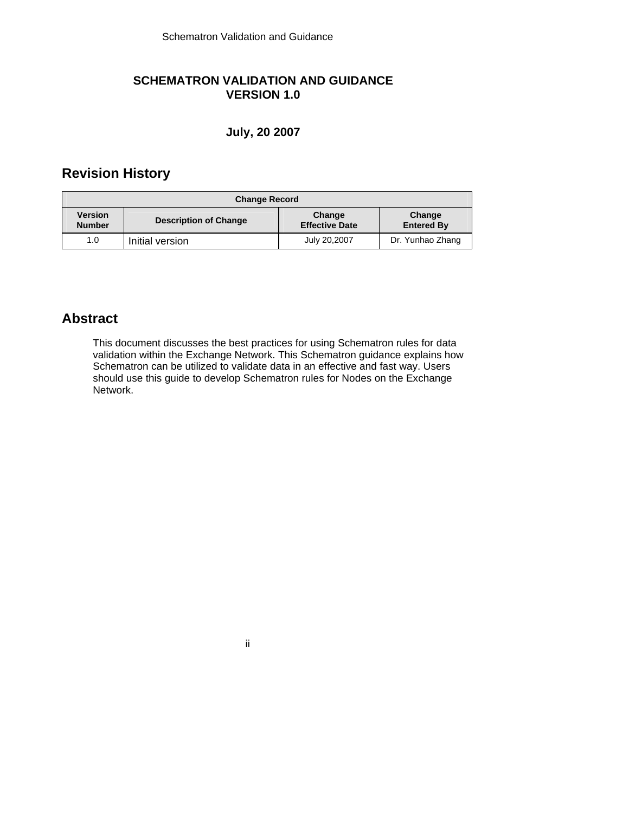# **SCHEMATRON VALIDATION AND GUIDANCE VERSION 1.0**

## **July, 20 2007**

# **Revision History**

| <b>Change Record</b>            |                              |                                 |                             |  |  |
|---------------------------------|------------------------------|---------------------------------|-----------------------------|--|--|
| <b>Version</b><br><b>Number</b> | <b>Description of Change</b> | Change<br><b>Effective Date</b> | Change<br><b>Entered By</b> |  |  |
| 1.0                             | Initial version              | July 20,2007                    | Dr. Yunhao Zhang            |  |  |

# **Abstract**

This document discusses the best practices for using Schematron rules for data validation within the Exchange Network. This Schematron guidance explains how Schematron can be utilized to validate data in an effective and fast way. Users should use this guide to develop Schematron rules for Nodes on the Exchange Network.

ii in de la provincia de la provincia de la provincia de la provincia de la provincia de la provincia del prov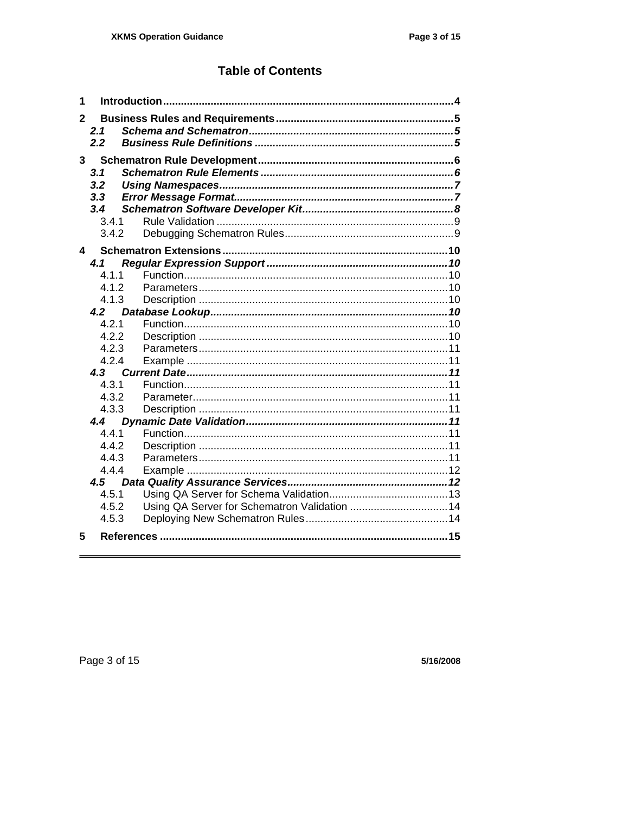# **Table of Contents**

| 1              |                |                                               |
|----------------|----------------|-----------------------------------------------|
| $\mathbf{2}$   |                |                                               |
|                | 2.1<br>2.2     |                                               |
|                |                |                                               |
| 3 <sup>1</sup> |                |                                               |
|                | 3.1            |                                               |
|                | 3.2            |                                               |
|                | 3,3            |                                               |
|                | 3.4            |                                               |
|                | 3.4.1          |                                               |
|                | 3.4.2          |                                               |
| 4              |                |                                               |
|                | 4.1            |                                               |
|                | 4.1.1          |                                               |
|                | 4.1.2          |                                               |
|                | 4.1.3          |                                               |
|                | 4.2            |                                               |
|                | 4.2.1          |                                               |
|                | 4.2.2          |                                               |
|                | 4.2.3<br>4.2.4 |                                               |
|                | 4.3            |                                               |
|                | 4.3.1          |                                               |
|                | 4.3.2          |                                               |
|                | 4.3.3          |                                               |
|                | 4.4            |                                               |
|                | 4.4.1          |                                               |
|                | 4.4.2          |                                               |
|                | 4.4.3          |                                               |
|                | 4.4.4          |                                               |
|                | 4.5            |                                               |
|                | 4.5.1          |                                               |
|                | 4.5.2          | Using QA Server for Schematron Validation  14 |
|                | 4.5.3          |                                               |
| 5              |                |                                               |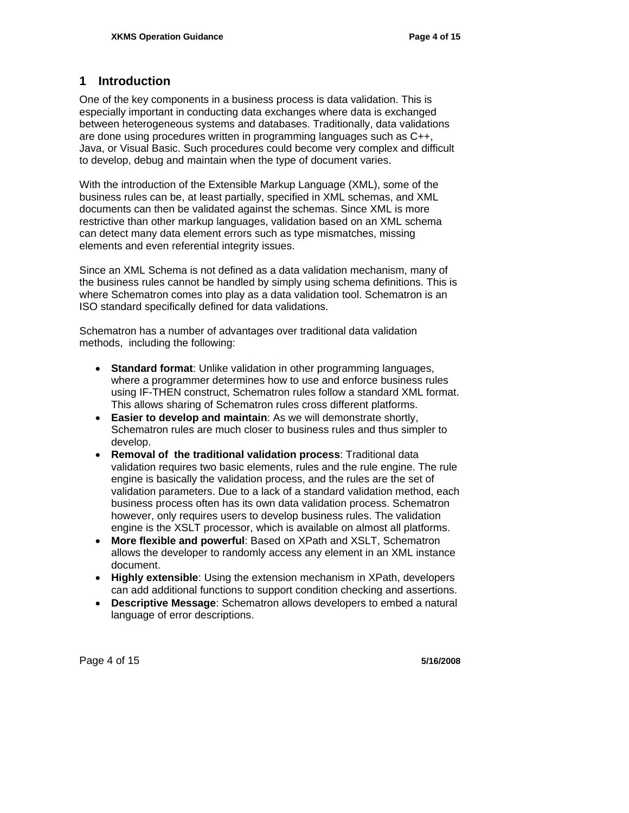# **1 Introduction**

One of the key components in a business process is data validation. This is especially important in conducting data exchanges where data is exchanged between heterogeneous systems and databases. Traditionally, data validations are done using procedures written in programming languages such as C++, Java, or Visual Basic. Such procedures could become very complex and difficult to develop, debug and maintain when the type of document varies.

With the introduction of the Extensible Markup Language (XML), some of the business rules can be, at least partially, specified in XML schemas, and XML documents can then be validated against the schemas. Since XML is more restrictive than other markup languages, validation based on an XML schema can detect many data element errors such as type mismatches, missing elements and even referential integrity issues.

Since an XML Schema is not defined as a data validation mechanism, many of the business rules cannot be handled by simply using schema definitions. This is where Schematron comes into play as a data validation tool. Schematron is an ISO standard specifically defined for data validations.

Schematron has a number of advantages over traditional data validation methods, including the following:

- **Standard format**: Unlike validation in other programming languages, where a programmer determines how to use and enforce business rules using IF-THEN construct, Schematron rules follow a standard XML format. This allows sharing of Schematron rules cross different platforms.
- **Easier to develop and maintain**: As we will demonstrate shortly, Schematron rules are much closer to business rules and thus simpler to develop.
- **Removal of the traditional validation process**: Traditional data validation requires two basic elements, rules and the rule engine. The rule engine is basically the validation process, and the rules are the set of validation parameters. Due to a lack of a standard validation method, each business process often has its own data validation process. Schematron however, only requires users to develop business rules. The validation engine is the XSLT processor, which is available on almost all platforms.
- **More flexible and powerful**: Based on XPath and XSLT, Schematron allows the developer to randomly access any element in an XML instance document.
- **Highly extensible**: Using the extension mechanism in XPath, developers can add additional functions to support condition checking and assertions.
- **Descriptive Message**: Schematron allows developers to embed a natural language of error descriptions.

Page 4 of 15 **5/16/2008**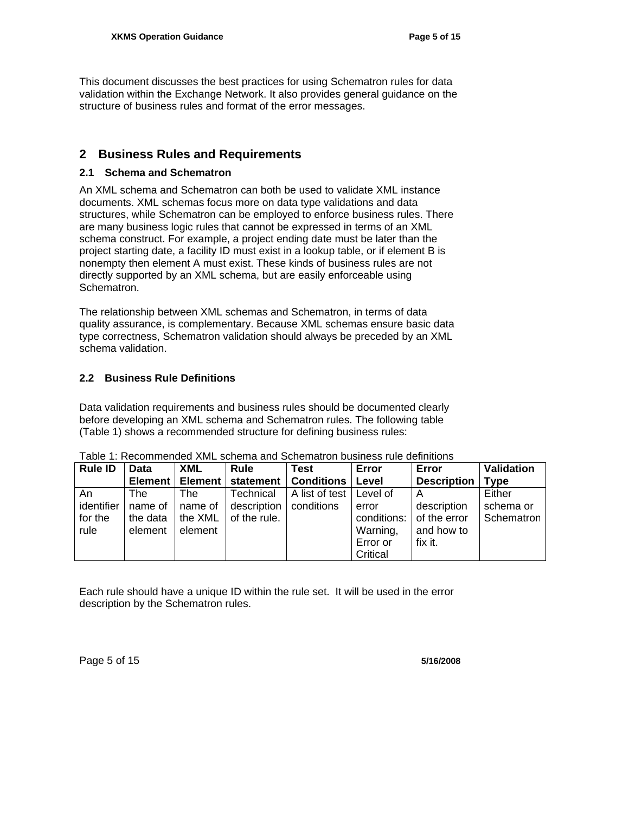This document discusses the best practices for using Schematron rules for data validation within the Exchange Network. It also provides general guidance on the structure of business rules and format of the error messages.

# **2 Business Rules and Requirements**

#### **2.1 Schema and Schematron**

An XML schema and Schematron can both be used to validate XML instance documents. XML schemas focus more on data type validations and data structures, while Schematron can be employed to enforce business rules. There are many business logic rules that cannot be expressed in terms of an XML schema construct. For example, a project ending date must be later than the project starting date, a facility ID must exist in a lookup table, or if element B is nonempty then element A must exist. These kinds of business rules are not directly supported by an XML schema, but are easily enforceable using Schematron.

The relationship between XML schemas and Schematron, in terms of data quality assurance, is complementary. Because XML schemas ensure basic data type correctness, Schematron validation should always be preceded by an XML schema validation.

#### **2.2 Business Rule Definitions**

Data validation requirements and business rules should be documented clearly before developing an XML schema and Schematron rules. The following table (Table 1) shows a recommended structure for defining business rules:

| <b>Rule ID</b> | <b>Data</b> | <b>XML</b> | <b>Rule</b>  | Test              | Error       | Error              | <b>Validation</b> |
|----------------|-------------|------------|--------------|-------------------|-------------|--------------------|-------------------|
|                | Element     | Element    | statement    | <b>Conditions</b> | Level       | <b>Description</b> | <b>Type</b>       |
| An             | The         | The        | Technical    | A list of test    | Level of    | $\overline{A}$     | Either            |
| identifier     | name of     | name of    | description  | conditions        | error       | description        | schema or         |
| for the        | the data    | the XML    | of the rule. |                   | conditions: | of the error       | Schematron        |
| rule           | element     | element    |              |                   | Warning,    | and how to         |                   |
|                |             |            |              |                   | Error or    | fix it.            |                   |
|                |             |            |              |                   | Critical    |                    |                   |

Table 1: Recommended XML schema and Schematron business rule definitions

Each rule should have a unique ID within the rule set. It will be used in the error description by the Schematron rules.

Page 5 of 15 **5/16/2008**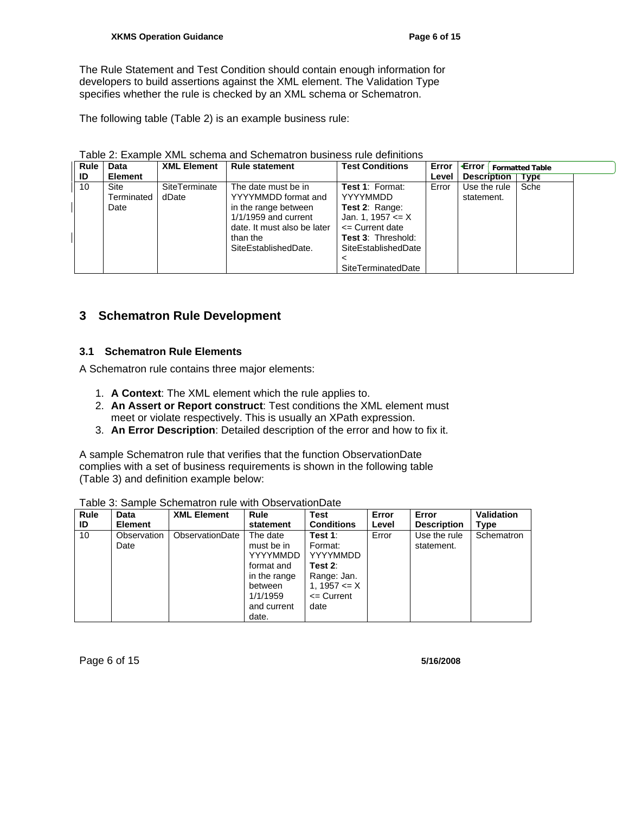The Rule Statement and Test Condition should contain enough information for developers to build assertions against the XML element. The Validation Type specifies whether the rule is checked by an XML schema or Schematron.

The following table (Table 2) is an example business rule:

| Rule<br>ID | Data<br><b>Element</b>     | <b>XML Element</b>     | <b>Rule statement</b>                                                                                                                                           | <b>Test Conditions</b>                                                                                                                                                                | Level | <b>Error <math>\left  \cdot \right </math> Formatted Table</b><br><b>Description</b> | <b>Type</b> |  |
|------------|----------------------------|------------------------|-----------------------------------------------------------------------------------------------------------------------------------------------------------------|---------------------------------------------------------------------------------------------------------------------------------------------------------------------------------------|-------|--------------------------------------------------------------------------------------|-------------|--|
| 10         | Site<br>Terminated<br>Date | SiteTerminate<br>dDate | The date must be in<br>YYYYMMDD format and<br>in the range between<br>$1/1/1959$ and current<br>date. It must also be later<br>than the<br>SiteEstablishedDate. | <b>Test 1: Format:</b><br><b>YYYYMMDD</b><br>Test 2: Range:<br>Jan. 1, 1957 $\leq$ X<br>$\leq$ Current date<br><b>Test 3: Threshold:</b><br>SiteEstablishedDate<br>SiteTerminatedDate | Error | Use the rule<br>statement.                                                           | Sche        |  |

|  | Table 2: Example XML schema and Schematron business rule definitions |  |
|--|----------------------------------------------------------------------|--|
|--|----------------------------------------------------------------------|--|

# **3 Schematron Rule Development**

#### **3.1 Schematron Rule Elements**

A Schematron rule contains three major elements:

- 1. **A Context**: The XML element which the rule applies to.
- 2. **An Assert or Report construct**: Test conditions the XML element must meet or violate respectively. This is usually an XPath expression.
- 3. **An Error Description**: Detailed description of the error and how to fix it.

A sample Schematron rule that verifies that the function ObservationDate complies with a set of business requirements is shown in the following table (Table 3) and definition example below:

| Rule | Data                | <b>XML Element</b> | Rule                                                                                                                   | Test                                                                                               | Error | Error                      | <b>Validation</b> |
|------|---------------------|--------------------|------------------------------------------------------------------------------------------------------------------------|----------------------------------------------------------------------------------------------------|-------|----------------------------|-------------------|
| ID   | <b>Element</b>      |                    | statement                                                                                                              | <b>Conditions</b>                                                                                  | Level | <b>Description</b>         | Type              |
| 10   | Observation<br>Date | ObservationDate    | The date<br>must be in<br><b>YYYYMMDD</b><br>format and<br>in the range<br>between<br>1/1/1959<br>and current<br>date. | Test 1:<br>Format:<br>YYYYMMDD<br>Test 2:<br>Range: Jan.<br>1, 1957 $\leq$ X<br><= Current<br>date | Error | Use the rule<br>statement. | Schematron        |

Table 3: Sample Schematron rule with ObservationDate

Page 6 of 15 **5/16/2008**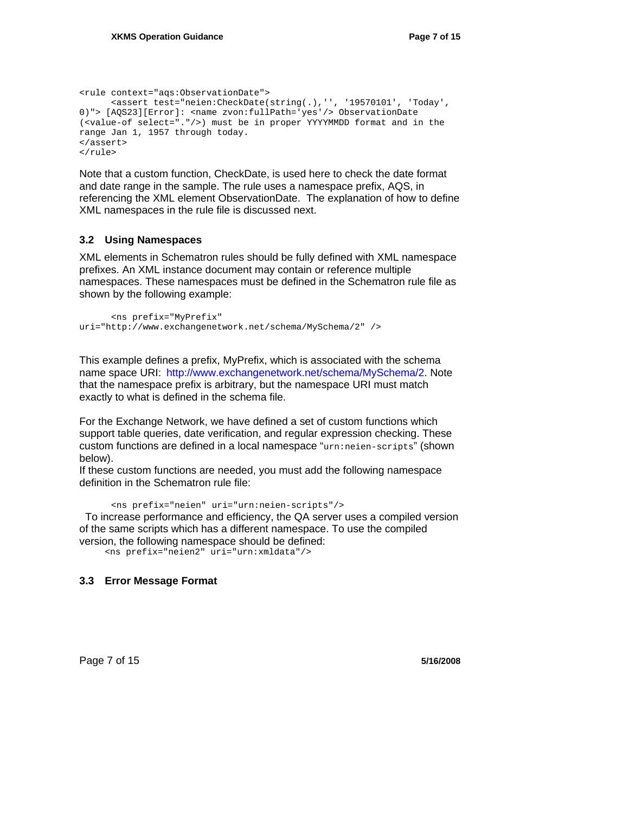```
<rule context="aqs:ObservationDate"> 
       <assert test="neien:CheckDate(string(.),'', '19570101', 'Today', 
0)"> [AQS23][Error]: <name zvon:fullPath='yes'/> ObservationDate 
(<value-of select="."/>) must be in proper YYYYMMDD format and in the 
range Jan 1, 1957 through today. 
</assert> 
</rule>
```
Note that a custom function, CheckDate, is used here to check the date format and date range in the sample. The rule uses a namespace prefix, AQS, in referencing the XML element ObservationDate. The explanation of how to define XML namespaces in the rule file is discussed next.

#### **3.2 Using Namespaces**

XML elements in Schematron rules should be fully defined with XML namespace prefixes. An XML instance document may contain or reference multiple namespaces. These namespaces must be defined in the Schematron rule file as shown by the following example:

```
 <ns prefix="MyPrefix" 
uri="http://www.exchangenetwork.net/schema/MySchema/2" />
```
This example defines a prefix, MyPrefix, which is associated with the schema name space URI: http://www.exchangenetwork.net/schema/MySchema/2. Note that the namespace prefix is arbitrary, but the namespace URI must match exactly to what is defined in the schema file.

For the Exchange Network, we have defined a set of custom functions which support table queries, date verification, and regular expression checking. These custom functions are defined in a local namespace "urn:neien-scripts" (shown below).

If these custom functions are needed, you must add the following namespace definition in the Schematron rule file:

```
 <ns prefix="neien" uri="urn:neien-scripts"/>
```
 To increase performance and efficiency, the QA server uses a compiled version of the same scripts which has a different namespace. To use the compiled version, the following namespace should be defined:

<ns prefix="neien2" uri="urn:xmldata"/>

#### **3.3 Error Message Format**

Page 7 of 15 **5/16/2008 5/16/2008**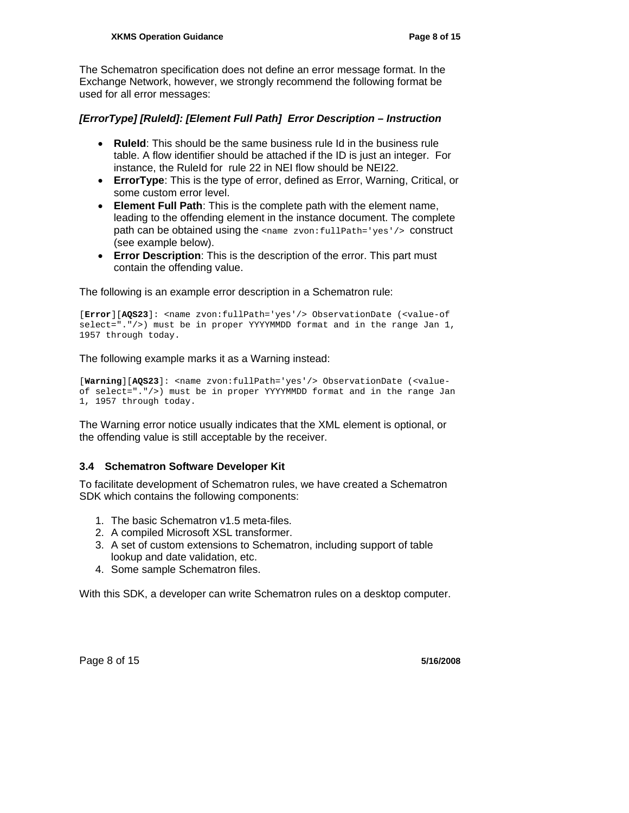The Schematron specification does not define an error message format. In the Exchange Network, however, we strongly recommend the following format be used for all error messages:

#### *[ErrorType] [RuleId]: [Element Full Path] Error Description – Instruction*

- **RuleId**: This should be the same business rule Id in the business rule table. A flow identifier should be attached if the ID is just an integer. For instance, the RuleId for rule 22 in NEI flow should be NEI22.
- **ErrorType**: This is the type of error, defined as Error, Warning, Critical, or some custom error level.
- **Element Full Path**: This is the complete path with the element name, leading to the offending element in the instance document. The complete path can be obtained using the <name zvon: fullPath='yes'/> construct (see example below).
- **Error Description**: This is the description of the error. This part must contain the offending value.

The following is an example error description in a Schematron rule:

[**Error**][**AQS23**]: <name zvon:fullPath='yes'/> ObservationDate (<value-of select="."/>) must be in proper YYYYMMDD format and in the range Jan 1, 1957 through today.

The following example marks it as a Warning instead:

[**Warning**][**AQS23**]: <name zvon:fullPath='yes'/> ObservationDate (<valueof select="."/>) must be in proper YYYYMMDD format and in the range Jan 1, 1957 through today.

The Warning error notice usually indicates that the XML element is optional, or the offending value is still acceptable by the receiver.

#### **3.4 Schematron Software Developer Kit**

To facilitate development of Schematron rules, we have created a Schematron SDK which contains the following components:

- 1. The basic Schematron v1.5 meta-files.
- 2. A compiled Microsoft XSL transformer.
- 3. A set of custom extensions to Schematron, including support of table lookup and date validation, etc.
- 4. Some sample Schematron files.

With this SDK, a developer can write Schematron rules on a desktop computer.

Page 8 of 15 **5/16/2008 5/16/2008**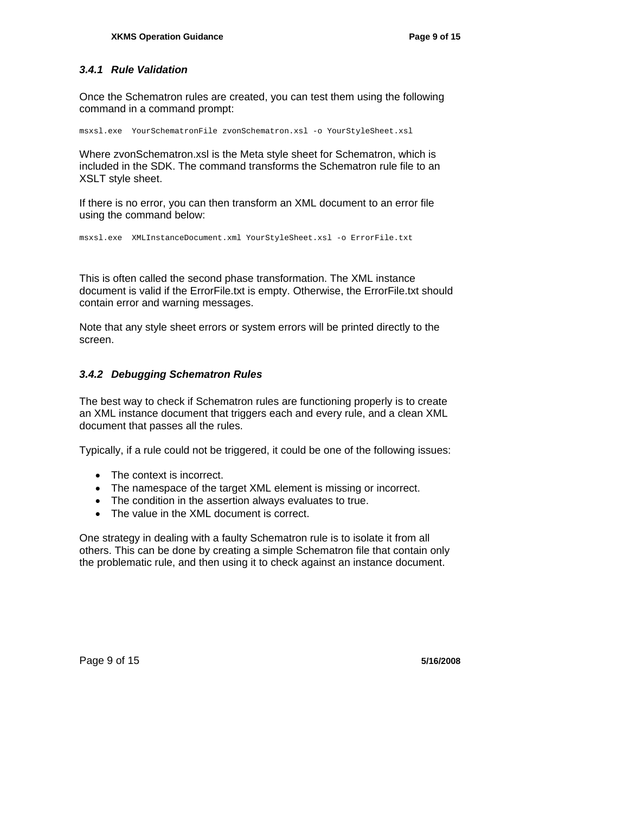#### *3.4.1 Rule Validation*

Once the Schematron rules are created, you can test them using the following command in a command prompt:

msxsl.exe YourSchematronFile zvonSchematron.xsl -o YourStyleSheet.xsl

Where zvonSchematron.xsl is the Meta style sheet for Schematron, which is included in the SDK. The command transforms the Schematron rule file to an XSLT style sheet.

If there is no error, you can then transform an XML document to an error file using the command below:

msxsl.exe XMLInstanceDocument.xml YourStyleSheet.xsl -o ErrorFile.txt

This is often called the second phase transformation. The XML instance document is valid if the ErrorFile.txt is empty. Otherwise, the ErrorFile.txt should contain error and warning messages.

Note that any style sheet errors or system errors will be printed directly to the screen.

#### *3.4.2 Debugging Schematron Rules*

The best way to check if Schematron rules are functioning properly is to create an XML instance document that triggers each and every rule, and a clean XML document that passes all the rules.

Typically, if a rule could not be triggered, it could be one of the following issues:

- The context is incorrect.
- The namespace of the target XML element is missing or incorrect.
- The condition in the assertion always evaluates to true.
- The value in the XML document is correct.

One strategy in dealing with a faulty Schematron rule is to isolate it from all others. This can be done by creating a simple Schematron file that contain only the problematic rule, and then using it to check against an instance document.

Page 9 of 15 **5/16/2008**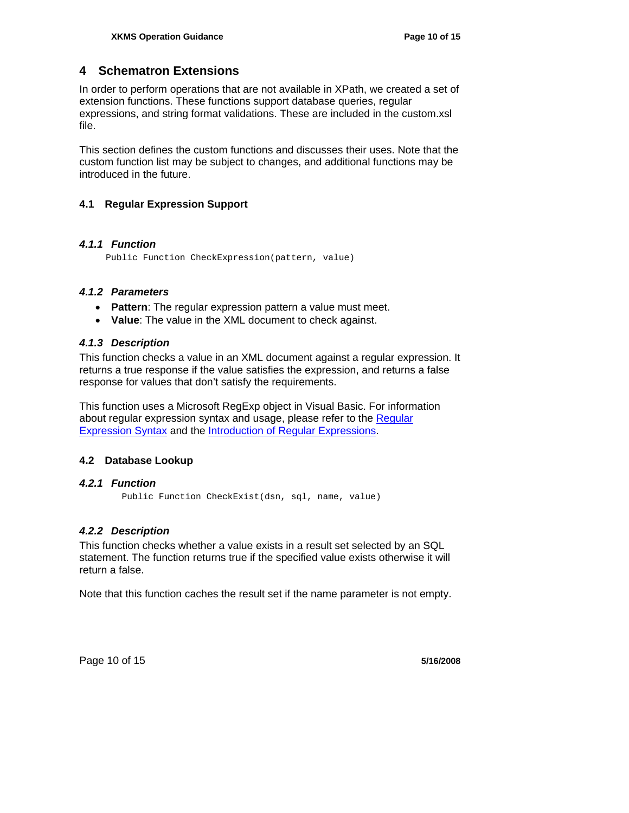## **4 Schematron Extensions**

In order to perform operations that are not available in XPath, we created a set of extension functions. These functions support database queries, regular expressions, and string format validations. These are included in the custom.xsl file.

This section defines the custom functions and discusses their uses. Note that the custom function list may be subject to changes, and additional functions may be introduced in the future.

#### **4.1 Regular Expression Support**

#### *4.1.1 Function*

Public Function CheckExpression(pattern, value)

#### *4.1.2 Parameters*

- **Pattern**: The regular expression pattern a value must meet.
- **Value**: The value in the XML document to check against.

#### *4.1.3 Description*

This function checks a value in an XML document against a regular expression. It returns a true response if the value satisfies the expression, and returns a false response for values that don't satisfy the requirements.

This function uses a Microsoft RegExp object in Visual Basic. For information about regular expression syntax and usage, please refer to the Regular Expression Syntax and the Introduction of Regular Expressions.

#### **4.2 Database Lookup**

#### *4.2.1 Function*

Public Function CheckExist(dsn, sql, name, value)

#### *4.2.2 Description*

This function checks whether a value exists in a result set selected by an SQL statement. The function returns true if the specified value exists otherwise it will return a false.

Note that this function caches the result set if the name parameter is not empty.

Page 10 of 15 **5/16/2008**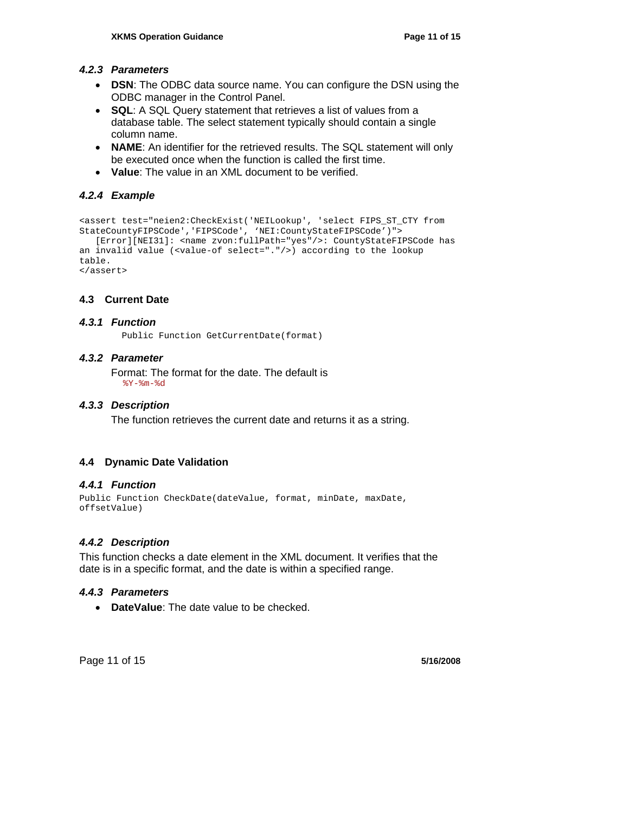#### *4.2.3 Parameters*

- **DSN**: The ODBC data source name. You can configure the DSN using the ODBC manager in the Control Panel.
- **SQL**: A SQL Query statement that retrieves a list of values from a database table. The select statement typically should contain a single column name.
- **NAME**: An identifier for the retrieved results. The SQL statement will only be executed once when the function is called the first time.
- **Value**: The value in an XML document to be verified.

## *4.2.4 Example*

```
<assert test="neien2:CheckExist('NEILookup', 'select FIPS_ST_CTY from 
StateCountyFIPSCode','FIPSCode', 'NEI:CountyStateFIPSCode')"> 
    [Error][NEI31]: <name zvon:fullPath="yes"/>: CountyStateFIPSCode has 
an invalid value (<value-of select="."/>) according to the lookup 
table. 
</assert>
```
#### **4.3 Current Date**

#### *4.3.1 Function*

Public Function GetCurrentDate(format)

#### *4.3.2 Parameter*

Format: The format for the date. The default is  $8Y - 8m - 8d$ 

#### *4.3.3 Description*

The function retrieves the current date and returns it as a string.

#### **4.4 Dynamic Date Validation**

#### *4.4.1 Function*

```
Public Function CheckDate(dateValue, format, minDate, maxDate, 
offsetValue)
```
#### *4.4.2 Description*

This function checks a date element in the XML document. It verifies that the date is in a specific format, and the date is within a specified range.

#### *4.4.3 Parameters*

• **DateValue**: The date value to be checked.

Page 11 of 15 **5/16/2008**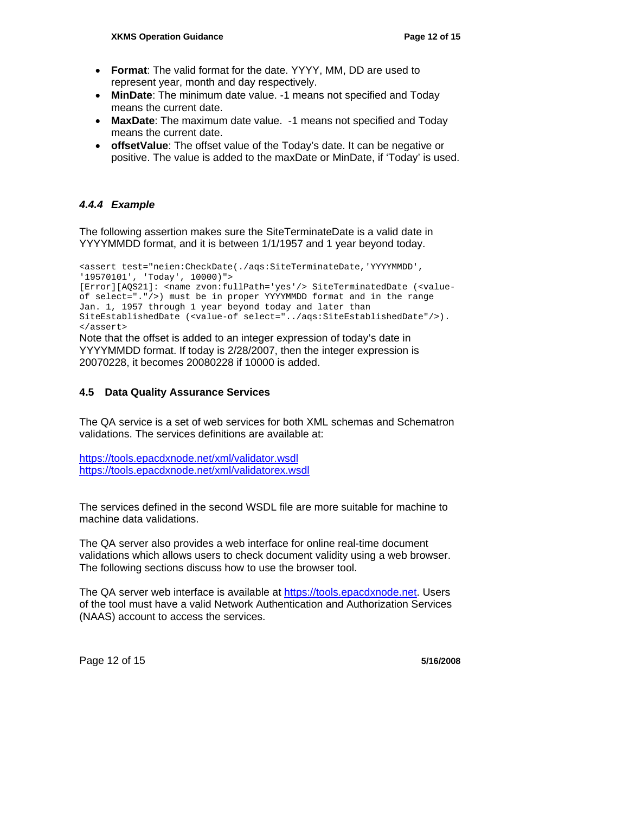- **Format**: The valid format for the date. YYYY, MM, DD are used to represent year, month and day respectively.
- **MinDate**: The minimum date value. -1 means not specified and Today means the current date.
- **MaxDate**: The maximum date value. -1 means not specified and Today means the current date.
- **offsetValue**: The offset value of the Today's date. It can be negative or positive. The value is added to the maxDate or MinDate, if 'Today' is used.

#### *4.4.4 Example*

The following assertion makes sure the SiteTerminateDate is a valid date in YYYYMMDD format, and it is between 1/1/1957 and 1 year beyond today.

<assert test="neien:CheckDate(./aqs:SiteTerminateDate,'YYYYMMDD', '19570101', 'Today', 10000)"> [Error][AQS21]: <name zvon:fullPath='yes'/> SiteTerminatedDate (<value-

of select="."/>) must be in proper YYYYMMDD format and in the range Jan. 1, 1957 through 1 year beyond today and later than SiteEstablishedDate (<value-of select="../aqs:SiteEstablishedDate"/>). </assert>

Note that the offset is added to an integer expression of today's date in YYYYMMDD format. If today is 2/28/2007, then the integer expression is 20070228, it becomes 20080228 if 10000 is added.

#### **4.5 Data Quality Assurance Services**

The QA service is a set of web services for both XML schemas and Schematron validations. The services definitions are available at:

https://tools.epacdxnode.net/xml/validator.wsdl https://tools.epacdxnode.net/xml/validatorex.wsdl

The services defined in the second WSDL file are more suitable for machine to machine data validations.

The QA server also provides a web interface for online real-time document validations which allows users to check document validity using a web browser. The following sections discuss how to use the browser tool.

The QA server web interface is available at https://tools.epacdxnode.net. Users of the tool must have a valid Network Authentication and Authorization Services (NAAS) account to access the services.

Page 12 of 15 **5/16/2008**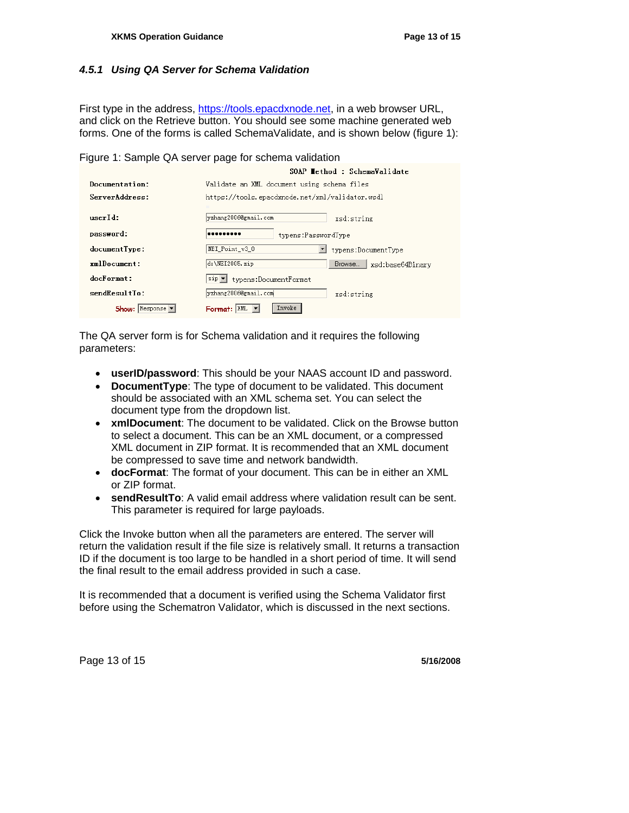#### *4.5.1 Using QA Server for Schema Validation*

First type in the address, https://tools.epacdxnode.net, in a web browser URL, and click on the Retrieve button. You should see some machine generated web forms. One of the forms is called SchemaValidate, and is shown below (figure 1):

#### Figure 1: Sample QA server page for schema validation

|                                       | SOAP Wethod : SchemaValidate                    |  |  |  |
|---------------------------------------|-------------------------------------------------|--|--|--|
| Documentation:                        | Validate an XML document using schema files     |  |  |  |
| ServerAddress:                        | https://tools.epacdxnode.net/xml/validator.wsdl |  |  |  |
| userId:                               | yzhang2006@gmail.com<br>xsd:string              |  |  |  |
| password:                             | <br>typens:PasswordType                         |  |  |  |
| documentType:                         | NEI Point v3 0<br>typens:DocumentType           |  |  |  |
| <b>xmlDocument:</b>                   | d:\NEI2005.zip<br>xsd:base64Binary<br>Browse    |  |  |  |
| $dnc$ Format:                         | typens:DocumentFormat<br>$zip \intercal$        |  |  |  |
| sendResultTo:                         | yzhang2006@gmail.com<br>xsd:string              |  |  |  |
| $Show:$ Response $\blacktriangledown$ | Invoke<br>XML<br>Format:                        |  |  |  |

The QA server form is for Schema validation and it requires the following parameters:

- **userID/password**: This should be your NAAS account ID and password.
- **DocumentType**: The type of document to be validated. This document should be associated with an XML schema set. You can select the document type from the dropdown list.
- **xmlDocument**: The document to be validated. Click on the Browse button to select a document. This can be an XML document, or a compressed XML document in ZIP format. It is recommended that an XML document be compressed to save time and network bandwidth.
- **docFormat**: The format of your document. This can be in either an XML or ZIP format.
- **sendResultTo**: A valid email address where validation result can be sent. This parameter is required for large payloads.

Click the Invoke button when all the parameters are entered. The server will return the validation result if the file size is relatively small. It returns a transaction ID if the document is too large to be handled in a short period of time. It will send the final result to the email address provided in such a case.

It is recommended that a document is verified using the Schema Validator first before using the Schematron Validator, which is discussed in the next sections.

Page 13 of 15 **5/16/2008**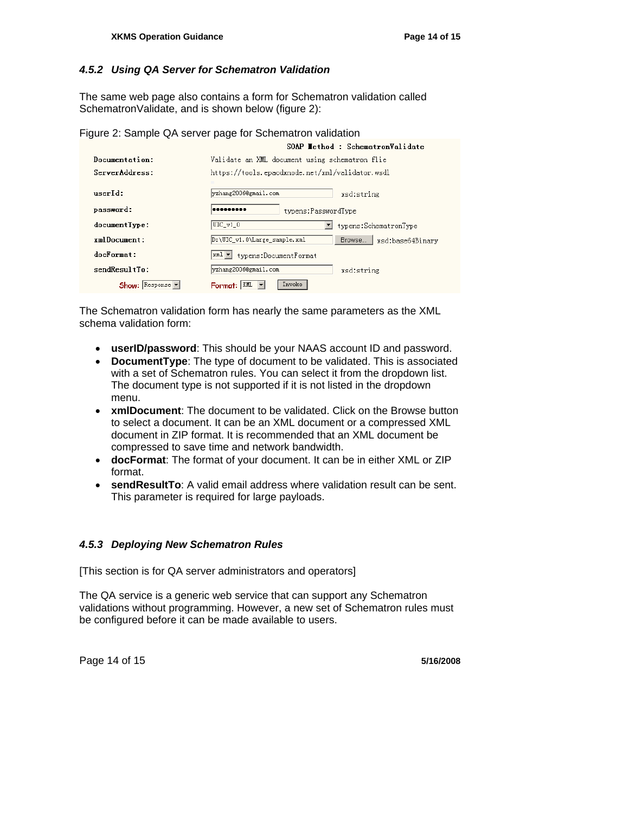#### *4.5.2 Using QA Server for Schematron Validation*

The same web page also contains a form for Schematron validation called SchematronValidate, and is shown below (figure 2):

Figure 2: Sample QA server page for Schematron validation

|                  | SOAP Wethod : SchematronValidate                          |
|------------------|-----------------------------------------------------------|
| Documentation:   | Validate an XML document using schematron flie            |
| ServerAddress:   | https://tools.epacdxnode.net/xml/validator.wsdl           |
| userId:          | yzhang2006@gmail.com<br>xsd:string                        |
| password:        | <br>typens:PasswordType                                   |
| documentType:    | $UIC_v1_0$<br>typens:SchematronType                       |
| $xml$ Document:  | Browse   xsd:base64Binary<br>D:\UIC_v1.0\Large_sample.xml |
| docFormat:       | typens:DocumentFormat<br>xml ▼∣                           |
| sendResultTo:    | yzhang2006@gmail.com<br>xsd:string                        |
| Show:<br>Respose | Invoke<br>Format:                                         |

The Schematron validation form has nearly the same parameters as the XML schema validation form:

- **userID/password**: This should be your NAAS account ID and password.
- **DocumentType**: The type of document to be validated. This is associated with a set of Schematron rules. You can select it from the dropdown list. The document type is not supported if it is not listed in the dropdown menu.
- **xmlDocument**: The document to be validated. Click on the Browse button to select a document. It can be an XML document or a compressed XML document in ZIP format. It is recommended that an XML document be compressed to save time and network bandwidth.
- **docFormat**: The format of your document. It can be in either XML or ZIP format.
- **sendResultTo**: A valid email address where validation result can be sent. This parameter is required for large payloads.

#### *4.5.3 Deploying New Schematron Rules*

[This section is for QA server administrators and operators]

The QA service is a generic web service that can support any Schematron validations without programming. However, a new set of Schematron rules must be configured before it can be made available to users.

Page 14 of 15 **5/16/2008**